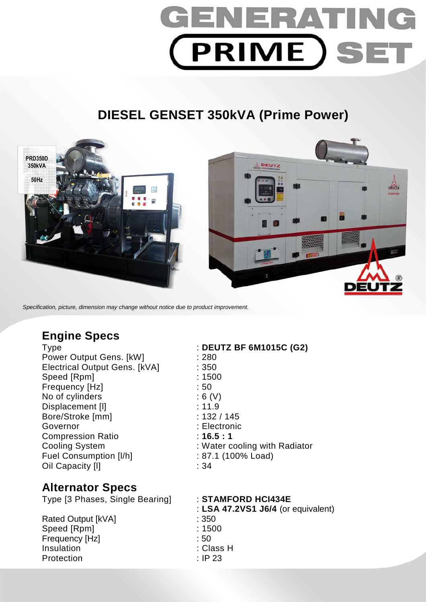# GENERATIN **PRIME SET**

# **DIESEL GENSET 350kVA (Prime Power)**



Specification, picture, dimension may change without notice due to product improvement.

# **Engine Specs**

Type : **DEUTZ BF 6M1015C (G2)**  Power Output Gens. [kW] : 280 Electrical Output Gens. [kVA] : 350 Speed [Rpm] : 1500 Frequency [Hz]  $\qquad \qquad$  : 50 No of cylinders : 6 (V) Displacement [I] 3.11.9 Bore/Stroke [mm] : 132 / 145 Governor : Electronic Compression Ratio : **16.5 : 1**  Fuel Consumption [I/h] : 87.1 (100% Load) Oil Capacity [I] 34

# Cooling System : Water cooling with Radiator

# **Alternator Specs**

Type [3 Phases, Single Bearing] : **STAMFORD HCI434E** 

Rated Output [kVA] : 350 Speed [Rpm] : 1500 Frequency [Hz] : 50 Insulation : Class H Protection : IP 23

: **LSA 47.2VS1 J6/4** (or equivalent)